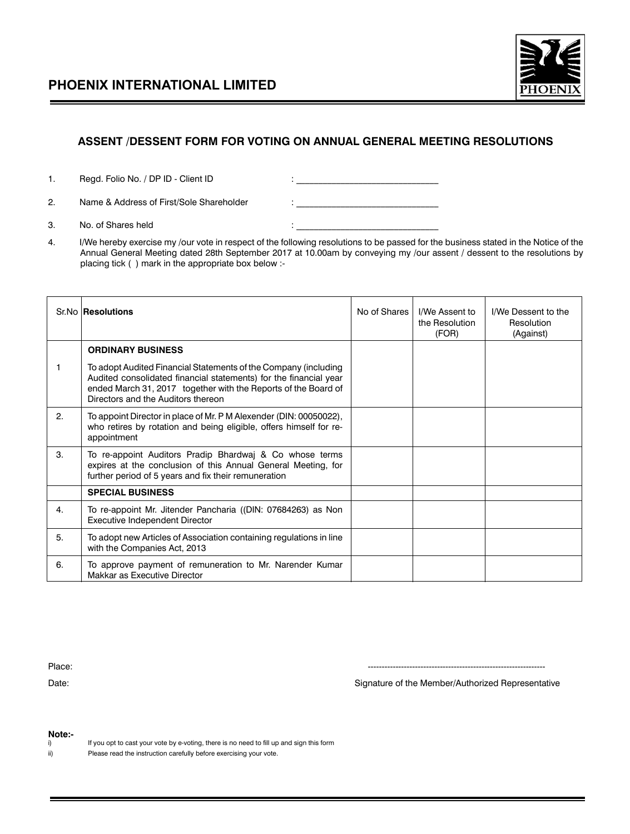

## **ASSENT /DESSENT FORM FOR VOTING ON ANNUAL GENERAL MEETING RESOLUTIONS**

- 1. Regd. Folio No. / DP ID Client ID : \_\_\_\_\_\_\_\_\_\_\_\_\_\_\_\_\_\_\_\_\_\_\_\_\_\_\_\_\_\_\_\_
- 2. Name & Address of First/Sole Shareholder : \_\_\_\_\_\_\_\_\_\_\_\_\_\_\_\_\_\_\_\_\_\_\_\_\_\_\_\_\_\_\_\_
- 3. No. of Shares held  $\blacksquare$
- 4. I/We hereby exercise my /our vote in respect of the following resolutions to be passed for the business stated in the Notice of the Annual General Meeting dated 28th September 2017 at 10.00am by conveying my /our assent / dessent to the resolutions by placing tick ( ) mark in the appropriate box below :-

|    | Sr.No Resolutions                                                                                                                                                                                                                            | No of Shares | I/We Assent to<br>the Resolution<br>(FOR) | I/We Dessent to the<br>Resolution<br>(Against) |
|----|----------------------------------------------------------------------------------------------------------------------------------------------------------------------------------------------------------------------------------------------|--------------|-------------------------------------------|------------------------------------------------|
|    | <b>ORDINARY BUSINESS</b>                                                                                                                                                                                                                     |              |                                           |                                                |
|    | To adopt Audited Financial Statements of the Company (including<br>Audited consolidated financial statements) for the financial year<br>ended March 31, 2017 together with the Reports of the Board of<br>Directors and the Auditors thereon |              |                                           |                                                |
| 2. | To appoint Director in place of Mr. P M Alexender (DIN: 00050022),<br>who retires by rotation and being eligible, offers himself for re-<br>appointment                                                                                      |              |                                           |                                                |
| 3. | To re-appoint Auditors Pradip Bhardwaj & Co whose terms<br>expires at the conclusion of this Annual General Meeting, for<br>further period of 5 years and fix their remuneration                                                             |              |                                           |                                                |
|    | <b>SPECIAL BUSINESS</b>                                                                                                                                                                                                                      |              |                                           |                                                |
| 4. | To re-appoint Mr. Jitender Pancharia ((DIN: 07684263) as Non<br>Executive Independent Director                                                                                                                                               |              |                                           |                                                |
| 5. | To adopt new Articles of Association containing regulations in line<br>with the Companies Act, 2013                                                                                                                                          |              |                                           |                                                |
| 6. | To approve payment of remuneration to Mr. Narender Kumar<br>Makkar as Executive Director                                                                                                                                                     |              |                                           |                                                |

Place: ----------------------------------------------------------------

Date: Signature of the Member/Authorized Representative Companies and Signature of the Member/Authorized Representative

**Note:-**

If you opt to cast your vote by e-voting, there is no need to fill up and sign this form

ii) Please read the instruction carefully before exercising your vote.